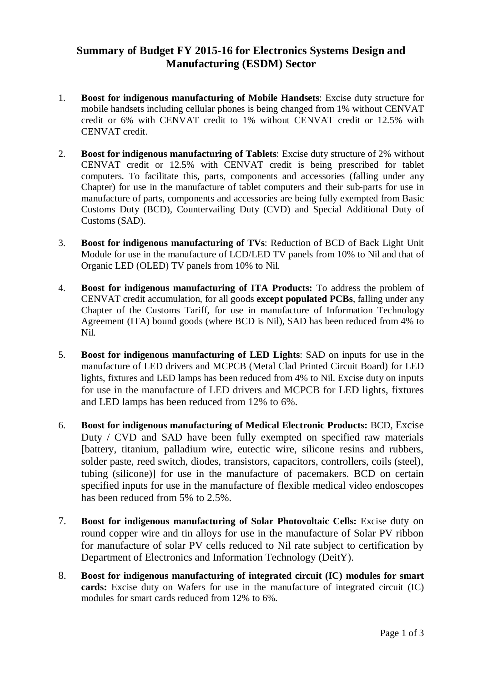## **Summary of Budget FY 2015-16 for Electronics Systems Design and Manufacturing (ESDM) Sector**

- 1. **Boost for indigenous manufacturing of Mobile Handsets**: Excise duty structure for mobile handsets including cellular phones is being changed from 1% without CENVAT credit or 6% with CENVAT credit to 1% without CENVAT credit or 12.5% with CENVAT credit.
- 2. **Boost for indigenous manufacturing of Tablets**: Excise duty structure of 2% without CENVAT credit or 12.5% with CENVAT credit is being prescribed for tablet computers. To facilitate this, parts, components and accessories (falling under any Chapter) for use in the manufacture of tablet computers and their sub-parts for use in manufacture of parts, components and accessories are being fully exempted from Basic Customs Duty (BCD), Countervailing Duty (CVD) and Special Additional Duty of Customs (SAD).
- 3. **Boost for indigenous manufacturing of TVs**: Reduction of BCD of Back Light Unit Module for use in the manufacture of LCD/LED TV panels from 10% to Nil and that of Organic LED (OLED) TV panels from 10% to Nil.
- 4. **Boost for indigenous manufacturing of ITA Products:** To address the problem of CENVAT credit accumulation, for all goods **except populated PCBs**, falling under any Chapter of the Customs Tariff, for use in manufacture of Information Technology Agreement (ITA) bound goods (where BCD is Nil), SAD has been reduced from 4% to Nil.
- 5. **Boost for indigenous manufacturing of LED Lights**: SAD on inputs for use in the manufacture of LED drivers and MCPCB (Metal Clad Printed Circuit Board) for LED lights, fixtures and LED lamps has been reduced from 4% to Nil. Excise duty on inputs for use in the manufacture of LED drivers and MCPCB for LED lights, fixtures and LED lamps has been reduced from 12% to 6%.
- 6. **Boost for indigenous manufacturing of Medical Electronic Products:** BCD, Excise Duty / CVD and SAD have been fully exempted on specified raw materials [battery, titanium, palladium wire, eutectic wire, silicone resins and rubbers, solder paste, reed switch, diodes, transistors, capacitors, controllers, coils (steel), tubing (silicone)] for use in the manufacture of pacemakers. BCD on certain specified inputs for use in the manufacture of flexible medical video endoscopes has been reduced from 5% to 2.5%.
- 7. **Boost for indigenous manufacturing of Solar Photovoltaic Cells:** Excise duty on round copper wire and tin alloys for use in the manufacture of Solar PV ribbon for manufacture of solar PV cells reduced to Nil rate subject to certification by Department of Electronics and Information Technology (DeitY).
- 8. **Boost for indigenous manufacturing of integrated circuit (IC) modules for smart cards:** Excise duty on Wafers for use in the manufacture of integrated circuit (IC) modules for smart cards reduced from 12% to 6%.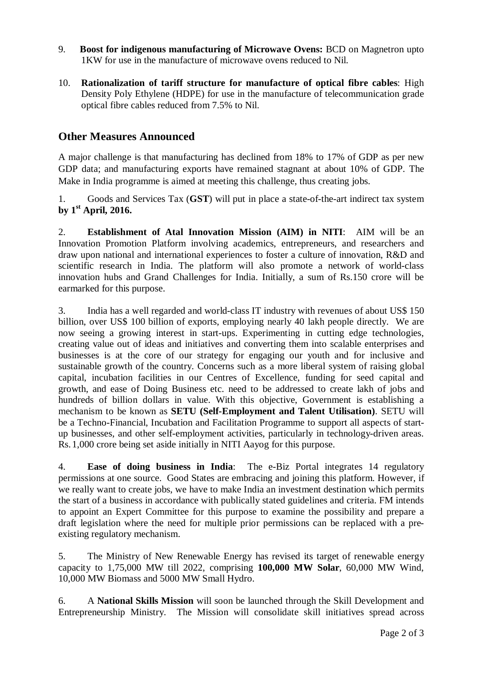- 9. **Boost for indigenous manufacturing of Microwave Ovens:** BCD on Magnetron upto 1KW for use in the manufacture of microwave ovens reduced to Nil.
- 10. **Rationalization of tariff structure for manufacture of optical fibre cables**: High Density Poly Ethylene (HDPE) for use in the manufacture of telecommunication grade optical fibre cables reduced from 7.5% to Nil.

## **Other Measures Announced**

A major challenge is that manufacturing has declined from 18% to 17% of GDP as per new GDP data; and manufacturing exports have remained stagnant at about 10% of GDP. The Make in India programme is aimed at meeting this challenge, thus creating jobs.

1. Goods and Services Tax (**GST**) will put in place a state-of-the-art indirect tax system **by 1st April, 2016.** 

2. **Establishment of Atal Innovation Mission (AIM) in NITI**: AIM will be an Innovation Promotion Platform involving academics, entrepreneurs, and researchers and draw upon national and international experiences to foster a culture of innovation, R&D and scientific research in India. The platform will also promote a network of world-class innovation hubs and Grand Challenges for India. Initially, a sum of Rs.150 crore will be earmarked for this purpose.

3. India has a well regarded and world-class IT industry with revenues of about US\$ 150 billion, over US\$ 100 billion of exports, employing nearly 40 lakh people directly. We are now seeing a growing interest in start-ups. Experimenting in cutting edge technologies, creating value out of ideas and initiatives and converting them into scalable enterprises and businesses is at the core of our strategy for engaging our youth and for inclusive and sustainable growth of the country. Concerns such as a more liberal system of raising global capital, incubation facilities in our Centres of Excellence, funding for seed capital and growth, and ease of Doing Business etc. need to be addressed to create lakh of jobs and hundreds of billion dollars in value. With this objective, Government is establishing a mechanism to be known as **SETU (Self-Employment and Talent Utilisation)**. SETU will be a Techno-Financial, Incubation and Facilitation Programme to support all aspects of startup businesses, and other self-employment activities, particularly in technology-driven areas. Rs. 1,000 crore being set aside initially in NITI Aayog for this purpose.

4. **Ease of doing business in India**: The e-Biz Portal integrates 14 regulatory permissions at one source. Good States are embracing and joining this platform. However, if we really want to create jobs, we have to make India an investment destination which permits the start of a business in accordance with publically stated guidelines and criteria. FM intends to appoint an Expert Committee for this purpose to examine the possibility and prepare a draft legislation where the need for multiple prior permissions can be replaced with a preexisting regulatory mechanism.

5. The Ministry of New Renewable Energy has revised its target of renewable energy capacity to 1,75,000 MW till 2022, comprising **100,000 MW Solar**, 60,000 MW Wind, 10,000 MW Biomass and 5000 MW Small Hydro.

6. A **National Skills Mission** will soon be launched through the Skill Development and Entrepreneurship Ministry. The Mission will consolidate skill initiatives spread across